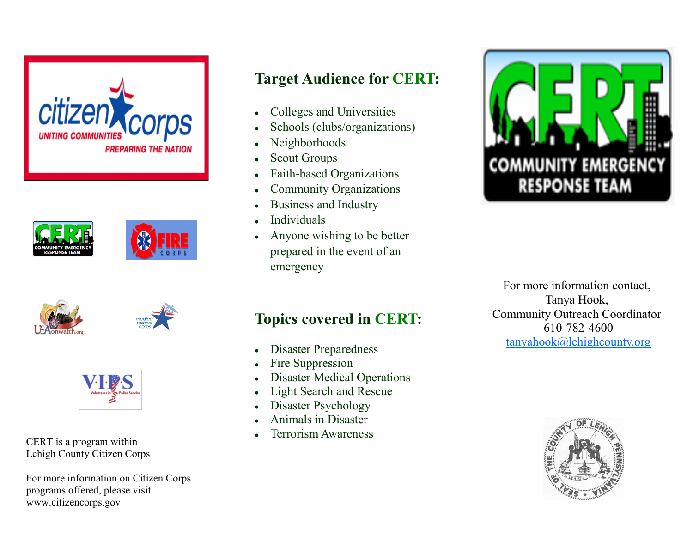









CERT is a program within Lehigh County Citizen Corps

For more information on Citizen Corps programs offered, please visit www.citizencorps.gov

# **Target Audience for CERT:**

- Colleges and Universities  $\bullet$
- Schools (clubs/organizations)  $\bullet$
- Neighborhoods  $\bullet$
- Scout Groups  $\bullet$
- Faith-based Organizations  $\bullet$
- Community Organizations  $\bullet$
- Business and Industry  $\bullet$
- Individuals  $\bullet$
- Anyone wishing to be better  $\bullet$ prepared in the event of an emergency



## **Topics covered in CERT:**

- Disaster Preparedness  $\bullet$
- Fire Suppression
- Disaster Medical Operations  $\bullet$
- Light Search and Rescue  $\bullet$
- Disaster Psychology  $\bullet$
- Animals in Disaster
- Terrorism Awareness

For more information contact, Tanya Hook, Community Outreach Coordinator 610-782-4600 tanyahook@lehighcounty.org